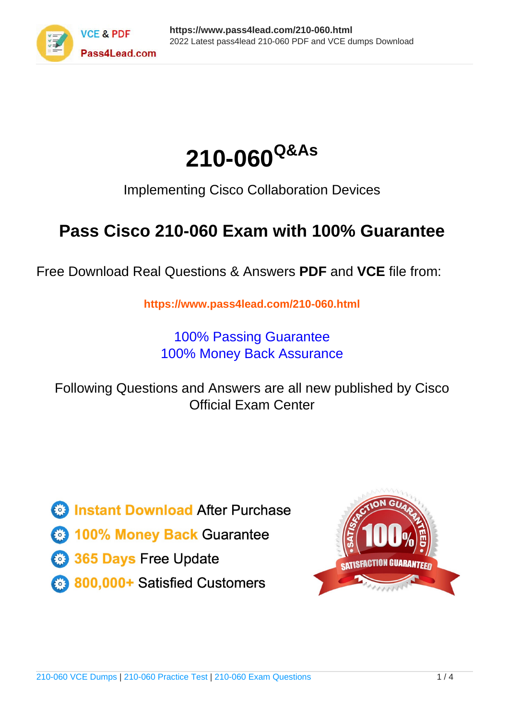



Implementing Cisco Collaboration Devices

# **Pass Cisco 210-060 Exam with 100% Guarantee**

Free Download Real Questions & Answers **PDF** and **VCE** file from:

**https://www.pass4lead.com/210-060.html**

100% Passing Guarantee 100% Money Back Assurance

Following Questions and Answers are all new published by Cisco Official Exam Center

**C** Instant Download After Purchase

**83 100% Money Back Guarantee** 

- 365 Days Free Update
- 800,000+ Satisfied Customers

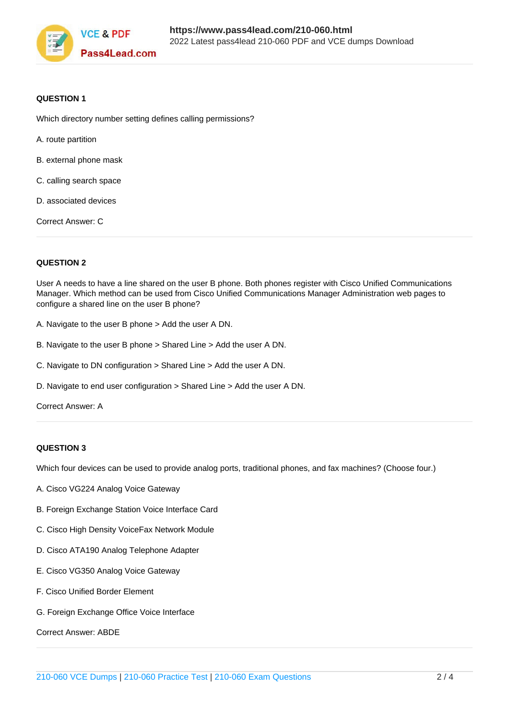

### **QUESTION 1**

Which directory number setting defines calling permissions?

- A. route partition
- B. external phone mask
- C. calling search space
- D. associated devices

Correct Answer: C

### **QUESTION 2**

User A needs to have a line shared on the user B phone. Both phones register with Cisco Unified Communications Manager. Which method can be used from Cisco Unified Communications Manager Administration web pages to configure a shared line on the user B phone?

- A. Navigate to the user B phone > Add the user A DN.
- B. Navigate to the user B phone > Shared Line > Add the user A DN.
- C. Navigate to DN configuration > Shared Line > Add the user A DN.
- D. Navigate to end user configuration > Shared Line > Add the user A DN.

Correct Answer: A

### **QUESTION 3**

Which four devices can be used to provide analog ports, traditional phones, and fax machines? (Choose four.)

- A. Cisco VG224 Analog Voice Gateway
- B. Foreign Exchange Station Voice Interface Card
- C. Cisco High Density VoiceFax Network Module
- D. Cisco ATA190 Analog Telephone Adapter
- E. Cisco VG350 Analog Voice Gateway
- F. Cisco Unified Border Element
- G. Foreign Exchange Office Voice Interface

Correct Answer: ABDE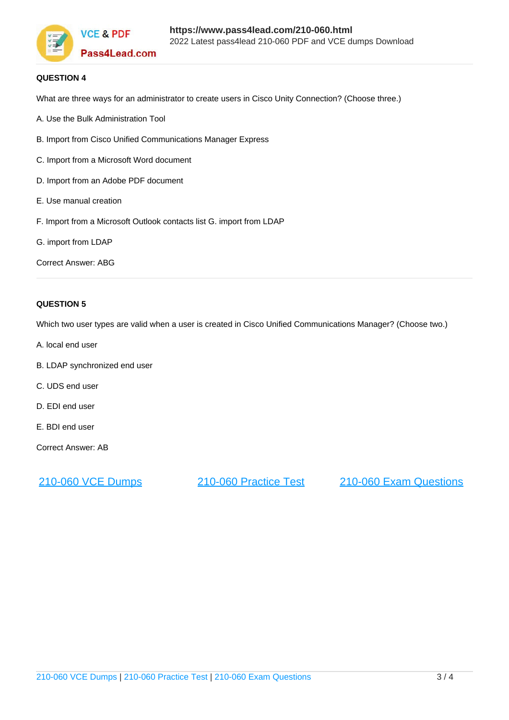

### **QUESTION 4**

What are three ways for an administrator to create users in Cisco Unity Connection? (Choose three.)

- A. Use the Bulk Administration Tool
- B. Import from Cisco Unified Communications Manager Express
- C. Import from a Microsoft Word document
- D. Import from an Adobe PDF document
- E. Use manual creation
- F. Import from a Microsoft Outlook contacts list G. import from LDAP
- G. import from LDAP

Correct Answer: ABG

### **QUESTION 5**

Which two user types are valid when a user is created in Cisco Unified Communications Manager? (Choose two.)

- A. local end user
- B. LDAP synchronized end user
- C. UDS end user
- D. EDI end user
- E. BDI end user

Correct Answer: AB

[210-060 VCE Dumps](https://www.pass4lead.com/210-060.html) [210-060 Practice Test](https://www.pass4lead.com/210-060.html) [210-060 Exam Questions](https://www.pass4lead.com/210-060.html)